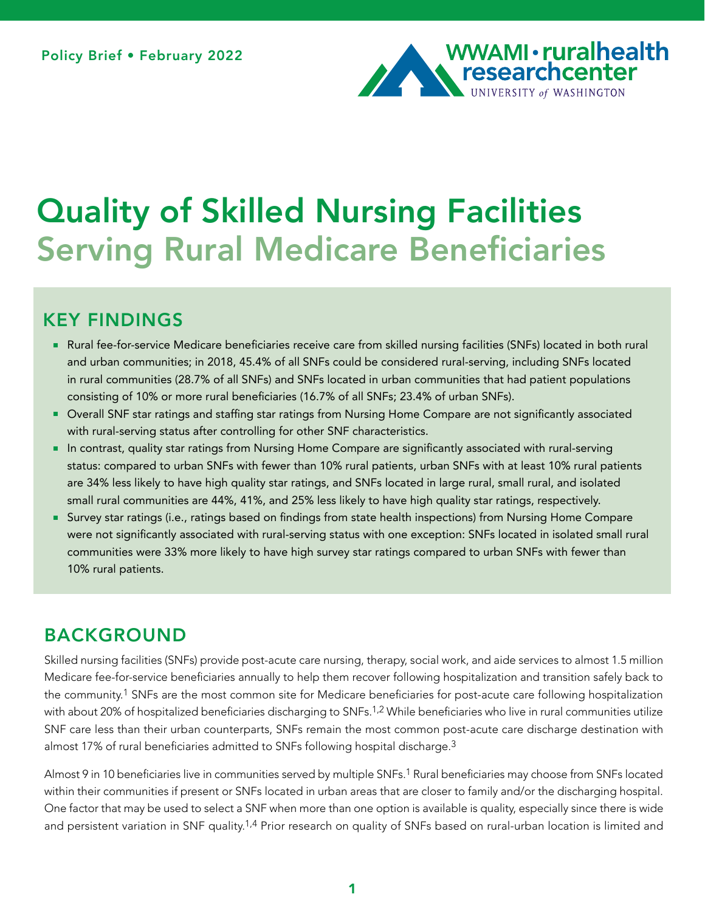

# Quality of Skilled Nursing Facilities Serving Rural Medicare Beneficiaries

# KEY FINDINGS

- Rural fee-for-service Medicare beneficiaries receive care from skilled nursing facilities (SNFs) located in both rural and urban communities; in 2018, 45.4% of all SNFs could be considered rural-serving, including SNFs located in rural communities (28.7% of all SNFs) and SNFs located in urban communities that had patient populations consisting of 10% or more rural beneficiaries (16.7% of all SNFs; 23.4% of urban SNFs).
- Overall SNF star ratings and staffing star ratings from Nursing Home Compare are not significantly associated  $\blacksquare$ with rural-serving status after controlling for other SNF characteristics.
- In contrast, quality star ratings from Nursing Home Compare are significantly associated with rural-serving status: compared to urban SNFs with fewer than 10% rural patients, urban SNFs with at least 10% rural patients are 34% less likely to have high quality star ratings, and SNFs located in large rural, small rural, and isolated small rural communities are 44%, 41%, and 25% less likely to have high quality star ratings, respectively.
- Survey star ratings (i.e., ratings based on findings from state health inspections) from Nursing Home Compare were not significantly associated with rural-serving status with one exception: SNFs located in isolated small rural communities were 33% more likely to have high survey star ratings compared to urban SNFs with fewer than 10% rural patients.

# BACKGROUND

Skilled nursing facilities (SNFs) provide post-acute care nursing, therapy, social work, and aide services to almost 1.5 million Medicare fee-for-service beneficiaries annually to help them recover following hospitalization and transition safely back to the community.1 SNFs are the most common site for Medicare beneficiaries for post-acute care following hospitalization with about 20% of hospitalized beneficiaries discharging to SNFs.<sup>1,2</sup> While beneficiaries who live in rural communities utilize SNF care less than their urban counterparts, SNFs remain the most common post-acute care discharge destination with almost 17% of rural beneficiaries admitted to SNFs following hospital discharge.<sup>3</sup>

Almost 9 in 10 beneficiaries live in communities served by multiple SNFs.1 Rural beneficiaries may choose from SNFs located within their communities if present or SNFs located in urban areas that are closer to family and/or the discharging hospital. One factor that may be used to select a SNF when more than one option is available is quality, especially since there is wide and persistent variation in SNF quality.<sup>1,4</sup> Prior research on quality of SNFs based on rural-urban location is limited and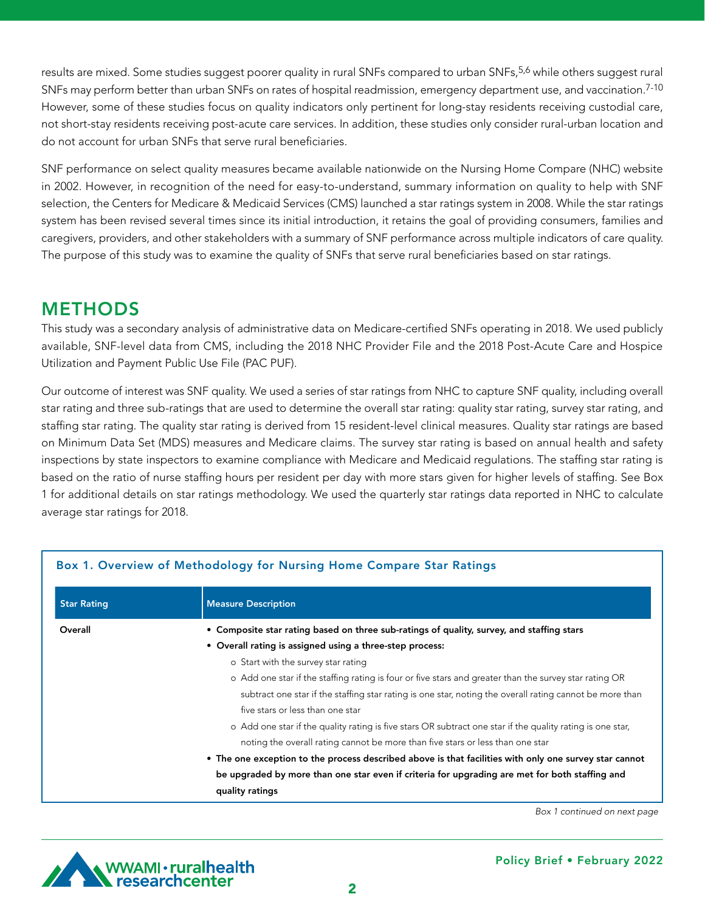results are mixed. Some studies suggest poorer quality in rural SNFs compared to urban SNFs,<sup>5,6</sup> while others suggest rural SNFs may perform better than urban SNFs on rates of hospital readmission, emergency department use, and vaccination.<sup>7-10</sup> However, some of these studies focus on quality indicators only pertinent for long-stay residents receiving custodial care, not short-stay residents receiving post-acute care services. In addition, these studies only consider rural-urban location and do not account for urban SNFs that serve rural beneficiaries.

SNF performance on select quality measures became available nationwide on the Nursing Home Compare (NHC) website in 2002. However, in recognition of the need for easy-to-understand, summary information on quality to help with SNF selection, the Centers for Medicare & Medicaid Services (CMS) launched a star ratings system in 2008. While the star ratings system has been revised several times since its initial introduction, it retains the goal of providing consumers, families and caregivers, providers, and other stakeholders with a summary of SNF performance across multiple indicators of care quality. The purpose of this study was to examine the quality of SNFs that serve rural beneficiaries based on star ratings.

# METHODS

This study was a secondary analysis of administrative data on Medicare-certified SNFs operating in 2018. We used publicly available, SNF-level data from CMS, including the 2018 NHC Provider File and the 2018 Post-Acute Care and Hospice Utilization and Payment Public Use File (PAC PUF).

Our outcome of interest was SNF quality. We used a series of star ratings from NHC to capture SNF quality, including overall star rating and three sub-ratings that are used to determine the overall star rating: quality star rating, survey star rating, and staffing star rating. The quality star rating is derived from 15 resident-level clinical measures. Quality star ratings are based on Minimum Data Set (MDS) measures and Medicare claims. The survey star rating is based on annual health and safety inspections by state inspectors to examine compliance with Medicare and Medicaid regulations. The staffing star rating is based on the ratio of nurse staffing hours per resident per day with more stars given for higher levels of staffing. See Box 1 for additional details on star ratings methodology. We used the quarterly star ratings data reported in NHC to calculate average star ratings for 2018.

|                    | Box 1. Overview of Methodology for Nursing Home Compare Star Ratings                                       |  |  |  |  |  |
|--------------------|------------------------------------------------------------------------------------------------------------|--|--|--|--|--|
| <b>Star Rating</b> | <b>Measure Description</b>                                                                                 |  |  |  |  |  |
| Overall            | • Composite star rating based on three sub-ratings of quality, survey, and staffing stars                  |  |  |  |  |  |
|                    | • Overall rating is assigned using a three-step process:                                                   |  |  |  |  |  |
|                    | o Start with the survey star rating                                                                        |  |  |  |  |  |
|                    | o Add one star if the staffing rating is four or five stars and greater than the survey star rating OR     |  |  |  |  |  |
|                    | subtract one star if the staffing star rating is one star, noting the overall rating cannot be more than   |  |  |  |  |  |
|                    | five stars or less than one star                                                                           |  |  |  |  |  |
|                    | o Add one star if the quality rating is five stars OR subtract one star if the quality rating is one star, |  |  |  |  |  |
|                    | noting the overall rating cannot be more than five stars or less than one star                             |  |  |  |  |  |
|                    | • The one exception to the process described above is that facilities with only one survey star cannot     |  |  |  |  |  |
|                    | be upgraded by more than one star even if criteria for upgrading are met for both staffing and             |  |  |  |  |  |
|                    | quality ratings                                                                                            |  |  |  |  |  |

*Box 1 continued on next page*

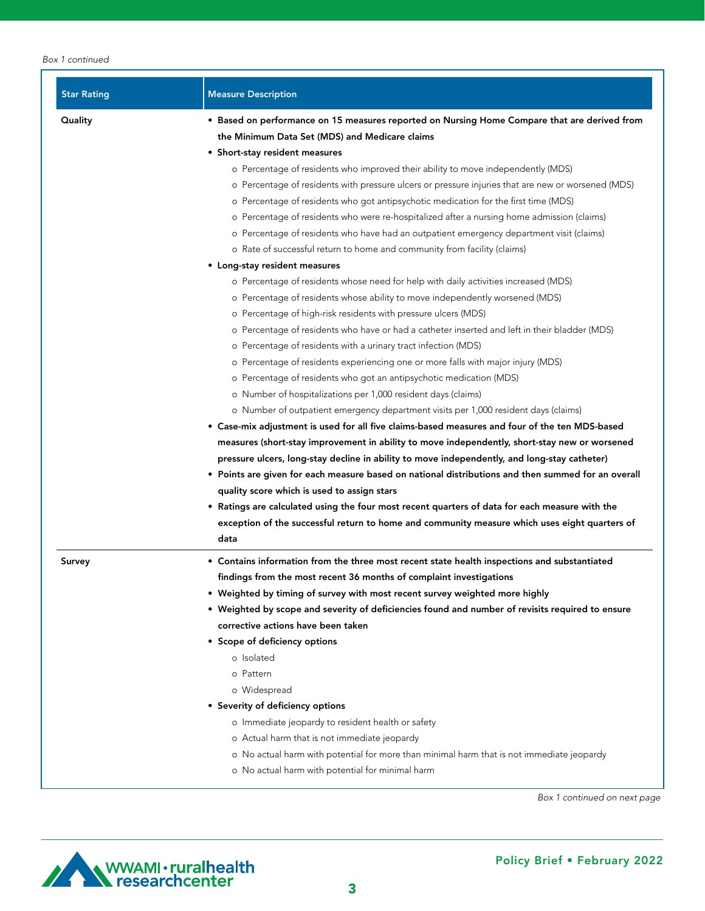#### *Box 1 continued*

| <b>Star Rating</b> | <b>Measure Description</b>                                                                            |  |  |  |  |  |  |  |
|--------------------|-------------------------------------------------------------------------------------------------------|--|--|--|--|--|--|--|
| Quality            | • Based on performance on 15 measures reported on Nursing Home Compare that are derived from          |  |  |  |  |  |  |  |
|                    | the Minimum Data Set (MDS) and Medicare claims                                                        |  |  |  |  |  |  |  |
|                    | • Short-stay resident measures                                                                        |  |  |  |  |  |  |  |
|                    | o Percentage of residents who improved their ability to move independently (MDS)                      |  |  |  |  |  |  |  |
|                    | o Percentage of residents with pressure ulcers or pressure injuries that are new or worsened (MDS)    |  |  |  |  |  |  |  |
|                    | o Percentage of residents who got antipsychotic medication for the first time (MDS)                   |  |  |  |  |  |  |  |
|                    | o Percentage of residents who were re-hospitalized after a nursing home admission (claims)            |  |  |  |  |  |  |  |
|                    | o Percentage of residents who have had an outpatient emergency department visit (claims)              |  |  |  |  |  |  |  |
|                    | o Rate of successful return to home and community from facility (claims)                              |  |  |  |  |  |  |  |
|                    | • Long-stay resident measures                                                                         |  |  |  |  |  |  |  |
|                    | o Percentage of residents whose need for help with daily activities increased (MDS)                   |  |  |  |  |  |  |  |
|                    | o Percentage of residents whose ability to move independently worsened (MDS)                          |  |  |  |  |  |  |  |
|                    | o Percentage of high-risk residents with pressure ulcers (MDS)                                        |  |  |  |  |  |  |  |
|                    | o Percentage of residents who have or had a catheter inserted and left in their bladder (MDS)         |  |  |  |  |  |  |  |
|                    | o Percentage of residents with a urinary tract infection (MDS)                                        |  |  |  |  |  |  |  |
|                    | o Percentage of residents experiencing one or more falls with major injury (MDS)                      |  |  |  |  |  |  |  |
|                    | o Percentage of residents who got an antipsychotic medication (MDS)                                   |  |  |  |  |  |  |  |
|                    | o Number of hospitalizations per 1,000 resident days (claims)                                         |  |  |  |  |  |  |  |
|                    | o Number of outpatient emergency department visits per 1,000 resident days (claims)                   |  |  |  |  |  |  |  |
|                    | • Case-mix adjustment is used for all five claims-based measures and four of the ten MDS-based        |  |  |  |  |  |  |  |
|                    | measures (short-stay improvement in ability to move independently, short-stay new or worsened         |  |  |  |  |  |  |  |
|                    | pressure ulcers, long-stay decline in ability to move independently, and long-stay catheter)          |  |  |  |  |  |  |  |
|                    | • Points are given for each measure based on national distributions and then summed for an overall    |  |  |  |  |  |  |  |
|                    | quality score which is used to assign stars                                                           |  |  |  |  |  |  |  |
|                    | • Ratings are calculated using the four most recent quarters of data for each measure with the        |  |  |  |  |  |  |  |
|                    | exception of the successful return to home and community measure which uses eight quarters of<br>data |  |  |  |  |  |  |  |
| Survey             | • Contains information from the three most recent state health inspections and substantiated          |  |  |  |  |  |  |  |
|                    | findings from the most recent 36 months of complaint investigations                                   |  |  |  |  |  |  |  |
|                    | . Weighted by timing of survey with most recent survey weighted more highly                           |  |  |  |  |  |  |  |
|                    | • Weighted by scope and severity of deficiencies found and number of revisits required to ensure      |  |  |  |  |  |  |  |
|                    | corrective actions have been taken                                                                    |  |  |  |  |  |  |  |
|                    | • Scope of deficiency options                                                                         |  |  |  |  |  |  |  |
|                    | o Isolated                                                                                            |  |  |  |  |  |  |  |
|                    | o Pattern                                                                                             |  |  |  |  |  |  |  |
|                    | o Widespread                                                                                          |  |  |  |  |  |  |  |
|                    | • Severity of deficiency options                                                                      |  |  |  |  |  |  |  |
|                    | o Immediate jeopardy to resident health or safety                                                     |  |  |  |  |  |  |  |
|                    | o Actual harm that is not immediate jeopardy                                                          |  |  |  |  |  |  |  |
|                    | o No actual harm with potential for more than minimal harm that is not immediate jeopardy             |  |  |  |  |  |  |  |
|                    | o No actual harm with potential for minimal harm                                                      |  |  |  |  |  |  |  |

*Box 1 continued on next page*

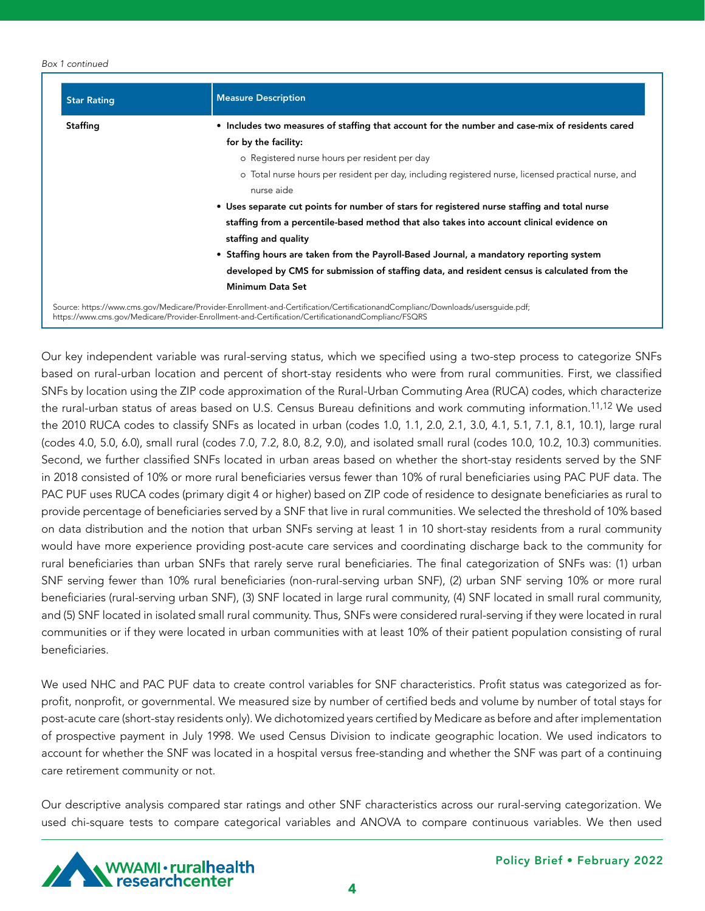#### *Box 1 continued*

| <b>Star Rating</b> | <b>Measure Description</b>                                                                                                     |  |  |  |  |  |
|--------------------|--------------------------------------------------------------------------------------------------------------------------------|--|--|--|--|--|
| <b>Staffing</b>    | • Includes two measures of staffing that account for the number and case-mix of residents cared                                |  |  |  |  |  |
|                    | for by the facility:                                                                                                           |  |  |  |  |  |
|                    | o Registered nurse hours per resident per day                                                                                  |  |  |  |  |  |
|                    | o Total nurse hours per resident per day, including registered nurse, licensed practical nurse, and                            |  |  |  |  |  |
|                    | nurse aide                                                                                                                     |  |  |  |  |  |
|                    | • Uses separate cut points for number of stars for registered nurse staffing and total nurse                                   |  |  |  |  |  |
|                    | staffing from a percentile-based method that also takes into account clinical evidence on                                      |  |  |  |  |  |
|                    | staffing and quality                                                                                                           |  |  |  |  |  |
|                    | • Staffing hours are taken from the Payroll-Based Journal, a mandatory reporting system                                        |  |  |  |  |  |
|                    | developed by CMS for submission of staffing data, and resident census is calculated from the                                   |  |  |  |  |  |
|                    | <b>Minimum Data Set</b>                                                                                                        |  |  |  |  |  |
|                    | Source: https://www.cms.gov/Medicare/Provider-Enrollment-and-Certification/CertificationandComplianc/Downloads/usersquide.pdf; |  |  |  |  |  |

https://www.cms.gov/Medicare/Provider-Enrollment-and-Certification/CertificationandComplianc/FSQRS

Our key independent variable was rural-serving status, which we specified using a two-step process to categorize SNFs based on rural-urban location and percent of short-stay residents who were from rural communities. First, we classified SNFs by location using the ZIP code approximation of the Rural-Urban Commuting Area (RUCA) codes, which characterize the rural-urban status of areas based on U.S. Census Bureau definitions and work commuting information.11,12 We used the 2010 RUCA codes to classify SNFs as located in urban (codes 1.0, 1.1, 2.0, 2.1, 3.0, 4.1, 5.1, 7.1, 8.1, 10.1), large rural (codes 4.0, 5.0, 6.0), small rural (codes 7.0, 7.2, 8.0, 8.2, 9.0), and isolated small rural (codes 10.0, 10.2, 10.3) communities. Second, we further classified SNFs located in urban areas based on whether the short-stay residents served by the SNF in 2018 consisted of 10% or more rural beneficiaries versus fewer than 10% of rural beneficiaries using PAC PUF data. The PAC PUF uses RUCA codes (primary digit 4 or higher) based on ZIP code of residence to designate beneficiaries as rural to provide percentage of beneficiaries served by a SNF that live in rural communities. We selected the threshold of 10% based on data distribution and the notion that urban SNFs serving at least 1 in 10 short-stay residents from a rural community would have more experience providing post-acute care services and coordinating discharge back to the community for rural beneficiaries than urban SNFs that rarely serve rural beneficiaries. The final categorization of SNFs was: (1) urban SNF serving fewer than 10% rural beneficiaries (non-rural-serving urban SNF), (2) urban SNF serving 10% or more rural beneficiaries (rural-serving urban SNF), (3) SNF located in large rural community, (4) SNF located in small rural community, and (5) SNF located in isolated small rural community. Thus, SNFs were considered rural-serving if they were located in rural communities or if they were located in urban communities with at least 10% of their patient population consisting of rural beneficiaries.

We used NHC and PAC PUF data to create control variables for SNF characteristics. Profit status was categorized as forprofit, nonprofit, or governmental. We measured size by number of certified beds and volume by number of total stays for post-acute care (short-stay residents only). We dichotomized years certified by Medicare as before and after implementation of prospective payment in July 1998. We used Census Division to indicate geographic location. We used indicators to account for whether the SNF was located in a hospital versus free-standing and whether the SNF was part of a continuing care retirement community or not.

Our descriptive analysis compared star ratings and other SNF characteristics across our rural-serving categorization. We used chi-square tests to compare categorical variables and ANOVA to compare continuous variables. We then used



4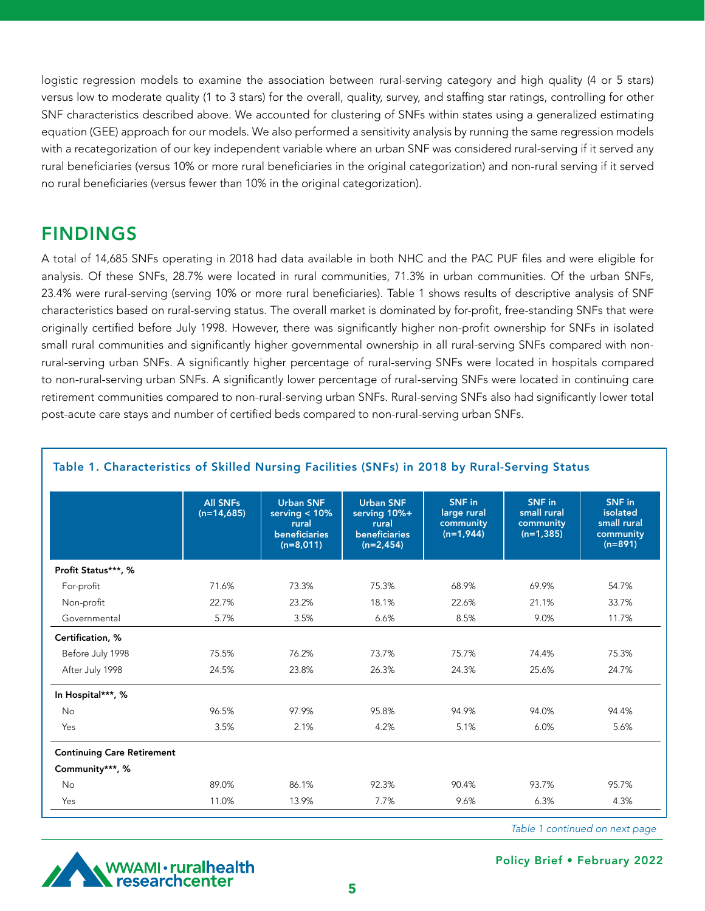logistic regression models to examine the association between rural-serving category and high quality (4 or 5 stars) versus low to moderate quality (1 to 3 stars) for the overall, quality, survey, and staffing star ratings, controlling for other SNF characteristics described above. We accounted for clustering of SNFs within states using a generalized estimating equation (GEE) approach for our models. We also performed a sensitivity analysis by running the same regression models with a recategorization of our key independent variable where an urban SNF was considered rural-serving if it served any rural beneficiaries (versus 10% or more rural beneficiaries in the original categorization) and non-rural serving if it served no rural beneficiaries (versus fewer than 10% in the original categorization).

### FINDINGS

A total of 14,685 SNFs operating in 2018 had data available in both NHC and the PAC PUF files and were eligible for analysis. Of these SNFs, 28.7% were located in rural communities, 71.3% in urban communities. Of the urban SNFs, 23.4% were rural-serving (serving 10% or more rural beneficiaries). Table 1 shows results of descriptive analysis of SNF characteristics based on rural-serving status. The overall market is dominated by for-profit, free-standing SNFs that were originally certified before July 1998. However, there was significantly higher non-profit ownership for SNFs in isolated small rural communities and significantly higher governmental ownership in all rural-serving SNFs compared with nonrural-serving urban SNFs. A significantly higher percentage of rural-serving SNFs were located in hospitals compared to non-rural-serving urban SNFs. A significantly lower percentage of rural-serving SNFs were located in continuing care retirement communities compared to non-rural-serving urban SNFs. Rural-serving SNFs also had significantly lower total post-acute care stays and number of certified beds compared to non-rural-serving urban SNFs.

|                                   | <b>All SNFs</b><br>$(n=14,685)$ | <b>Urban SNF</b><br>serving $< 10\%$<br>rural<br><b>beneficiaries</b><br>$(n=8,011)$ | <b>Urban SNF</b><br>serving 10%+<br>rural<br><b>beneficiaries</b><br>$(n=2,454)$ | <b>SNF</b> in<br>large rural<br>community<br>$(n=1,944)$ | SNF in<br>small rural<br>community<br>$(n=1,385)$ | SNF in<br>isolated<br>small rural<br>community<br>$(n=891)$ |
|-----------------------------------|---------------------------------|--------------------------------------------------------------------------------------|----------------------------------------------------------------------------------|----------------------------------------------------------|---------------------------------------------------|-------------------------------------------------------------|
| Profit Status***, %               |                                 |                                                                                      |                                                                                  |                                                          |                                                   |                                                             |
| For-profit                        | 71.6%                           | 73.3%                                                                                | 75.3%                                                                            | 68.9%                                                    | 69.9%                                             | 54.7%                                                       |
| Non-profit                        | 22.7%                           | 23.2%                                                                                | 18.1%                                                                            | 22.6%                                                    | 21.1%                                             | 33.7%                                                       |
| Governmental                      | 5.7%                            | 3.5%                                                                                 | 6.6%                                                                             | 8.5%                                                     | 9.0%                                              | 11.7%                                                       |
| Certification, %                  |                                 |                                                                                      |                                                                                  |                                                          |                                                   |                                                             |
| Before July 1998                  | 75.5%                           | 76.2%                                                                                | 73.7%                                                                            | 75.7%                                                    | 74.4%                                             | 75.3%                                                       |
| After July 1998                   | 24.5%                           | 23.8%                                                                                | 26.3%<br>24.3%                                                                   |                                                          | 25.6%                                             | 24.7%                                                       |
| In Hospital***, %                 |                                 |                                                                                      |                                                                                  |                                                          |                                                   |                                                             |
| <b>No</b>                         | 96.5%                           | 97.9%                                                                                | 95.8%<br>94.9%                                                                   |                                                          | 94.0%                                             | 94.4%                                                       |
| Yes                               | 3.5%                            | 2.1%                                                                                 | 4.2%                                                                             | 5.1%                                                     | 6.0%                                              | 5.6%                                                        |
| <b>Continuing Care Retirement</b> |                                 |                                                                                      |                                                                                  |                                                          |                                                   |                                                             |
| Community***, %                   |                                 |                                                                                      |                                                                                  |                                                          |                                                   |                                                             |
| <b>No</b>                         | 89.0%                           | 86.1%                                                                                | 92.3%                                                                            | 90.4%                                                    | 93.7%                                             | 95.7%                                                       |
| Yes                               | 11.0%                           | 13.9%                                                                                | 7.7%                                                                             | 9.6%                                                     | 6.3%                                              | 4.3%                                                        |

### Table 1. Characteristics of Skilled Nursing Facilities (SNFs) in 2018 by Rural-Serving Status

*Table 1 continued on next page*



Policy Brief • February 2022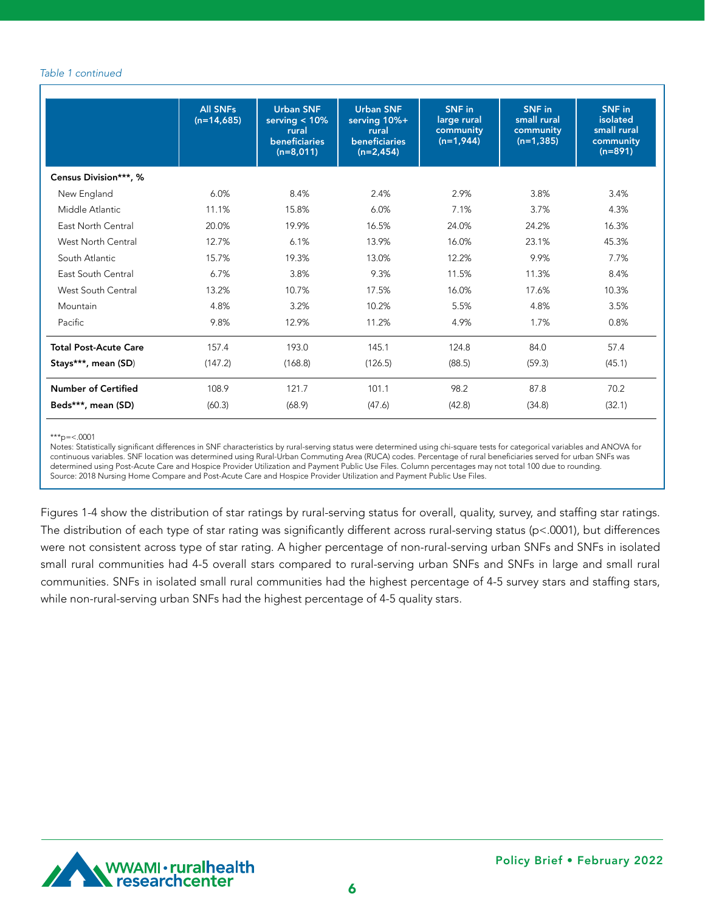#### *Table 1 continued*

|                              | <b>All SNFs</b><br>$(n=14,685)$ | <b>Urban SNF</b><br>serving $< 10\%$<br>rural<br><b>beneficiaries</b><br>$(n=8,011)$ | <b>Urban SNF</b><br>serving 10%+<br>rural<br><b>beneficiaries</b><br>$(n=2,454)$ | SNF in<br>large rural<br>community<br>$(n=1,944)$ | SNF in<br>small rural<br>community<br>$(n=1,385)$ | <b>SNF</b> in<br>isolated<br>small rural<br>community<br>$(n=891)$ |
|------------------------------|---------------------------------|--------------------------------------------------------------------------------------|----------------------------------------------------------------------------------|---------------------------------------------------|---------------------------------------------------|--------------------------------------------------------------------|
| Census Division***, %        |                                 |                                                                                      |                                                                                  |                                                   |                                                   |                                                                    |
| New England                  | 6.0%                            | 8.4%                                                                                 | 2.4%                                                                             | 2.9%                                              | 3.8%                                              | 3.4%                                                               |
| Middle Atlantic              | 11.1%                           | 15.8%                                                                                | 6.0%<br>7.1%                                                                     |                                                   | 3.7%                                              | 4.3%                                                               |
| East North Central           | 20.0%                           | 19.9%                                                                                | 16.5%                                                                            | 24.0%                                             | 24.2%                                             | 16.3%                                                              |
| <b>West North Central</b>    | 12.7%                           | 6.1%                                                                                 | 13.9%<br>16.0%                                                                   |                                                   | 23.1%                                             | 45.3%                                                              |
| South Atlantic               | 15.7%                           | 19.3%                                                                                | 13.0%                                                                            | 12.2%                                             | 9.9%                                              | 7.7%                                                               |
| East South Central           | 6.7%                            | 3.8%                                                                                 | 9.3%<br>11.5%                                                                    |                                                   | 11.3%                                             | 8.4%                                                               |
| West South Central           | 13.2%                           | 10.7%                                                                                | 17.5%                                                                            | 16.0%                                             | 17.6%                                             | 10.3%                                                              |
| Mountain                     | 4.8%                            | 3.2%                                                                                 | 10.2%<br>5.5%                                                                    |                                                   | 4.8%                                              | 3.5%                                                               |
| Pacific                      | 9.8%                            | 12.9%                                                                                | 11.2%                                                                            | 4.9%                                              | 1.7%                                              | 0.8%                                                               |
| <b>Total Post-Acute Care</b> | 157.4                           | 193.0                                                                                | 145.1                                                                            | 124.8                                             | 84.0                                              | 57.4                                                               |
| Stays***, mean (SD)          | (147.2)                         | (168.8)                                                                              | (126.5)                                                                          | (88.5)                                            | (59.3)                                            | (45.1)                                                             |
| <b>Number of Certified</b>   | 108.9                           | 121.7                                                                                | 101.1                                                                            | 98.2                                              | 87.8                                              | 70.2                                                               |
| Beds***, mean (SD)           | (60.3)                          | (68.9)                                                                               | (47.6)                                                                           | (42.8)                                            | (34.8)                                            | (32.1)                                                             |

\*\*\*p= $<.0001$ 

Notes: Statistically significant differences in SNF characteristics by rural-serving status were determined using chi-square tests for categorical variables and ANOVA for continuous variables. SNF location was determined using Rural-Urban Commuting Area (RUCA) codes. Percentage of rural beneficiaries served for urban SNFs was determined using Post-Acute Care and Hospice Provider Utilization and Payment Public Use Files. Column percentages may not total 100 due to rounding. Source: 2018 Nursing Home Compare and Post-Acute Care and Hospice Provider Utilization and Payment Public Use Files.

Figures 1-4 show the distribution of star ratings by rural-serving status for overall, quality, survey, and staffing star ratings. The distribution of each type of star rating was significantly different across rural-serving status (p<.0001), but differences were not consistent across type of star rating. A higher percentage of non-rural-serving urban SNFs and SNFs in isolated small rural communities had 4-5 overall stars compared to rural-serving urban SNFs and SNFs in large and small rural communities. SNFs in isolated small rural communities had the highest percentage of 4-5 survey stars and staffing stars, while non-rural-serving urban SNFs had the highest percentage of 4-5 quality stars.

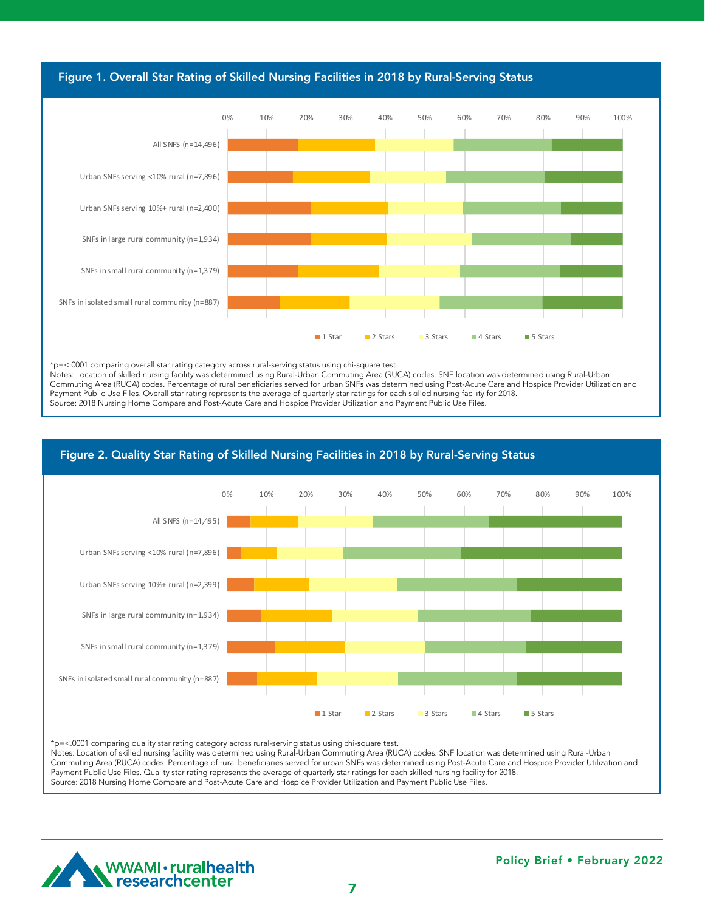

 $S_{\rm 3D}$  in small rural community (n=1,379) 17.9  $\pm$  20.5  $\pm$  20.5  $\pm$ 

\*p=<.0001 comparing overall star rating category across rural-serving status using chi-square test. p-stown companing overainstandamy category across rurar-serving status using cni-square test.<br>Notes: Location of skilled nursing facility was determined using Rural-Urban Commuting Area (RUCA) codes. SNF location was deter Commuting Area (RUCA) codes. Percentage of rural beneficiaries served for urban SNFs was determined using Post-Acute Care and Hospice Provider Utilization and Payment Public Use Files. Overall star rating represents the average of quarterly star ratings for each skilled nursing facility for 2018. Source: 2018 Nursing Home Compare and Post-Acute Care and Hospice Provider Utilization and Payment Public Use Files.

 $U_{\rm{N}}$  serving 10%  $\sim$  10%  $\sim$  13.9  $\sim$  13.9  $\sim$  13.9  $\sim$  13.9  $\sim$  13.9  $\sim$  13.9  $\sim$  13.9  $\sim$  13.9  $\sim$  13.9  $\sim$  13.9  $\sim$  13.9  $\sim$  13.9  $\sim$  13.9  $\sim$  13.9  $\sim$  13.9  $\sim$  13.9  $\sim$  13.9  $\sim$  13.9  $\sim$  13.9 Urban SNFs serving <10% rural (n=7,896) 3.6 9.1 16.8 29.7 40.8

### Figure 2. Quality Star Rating of Skilled Nursing Facilities in 2018 by Rural-Serving Status



\*p=<.0001 comparing quality star rating category across rural-serving status using chi-square test.

Notes: Location of skilled nursing facility was determined using Rural-Urban Commuting Area (RUCA) codes. SNF location was determined using Rural-Urban Commuting Area (RUCA) codes. Percentage of rural beneficiaries served for urban SNFs was determined using Post-Acute Care and Hospice Provider Utilization and Payment Public Use Files. Quality star rating represents the average of quarterly star ratings for each skilled nursing facility for 2018. Source: 2018 Nursing Home Compare and Post-Acute Care and Hospice Provider Utilization and Payment Public Use Files.

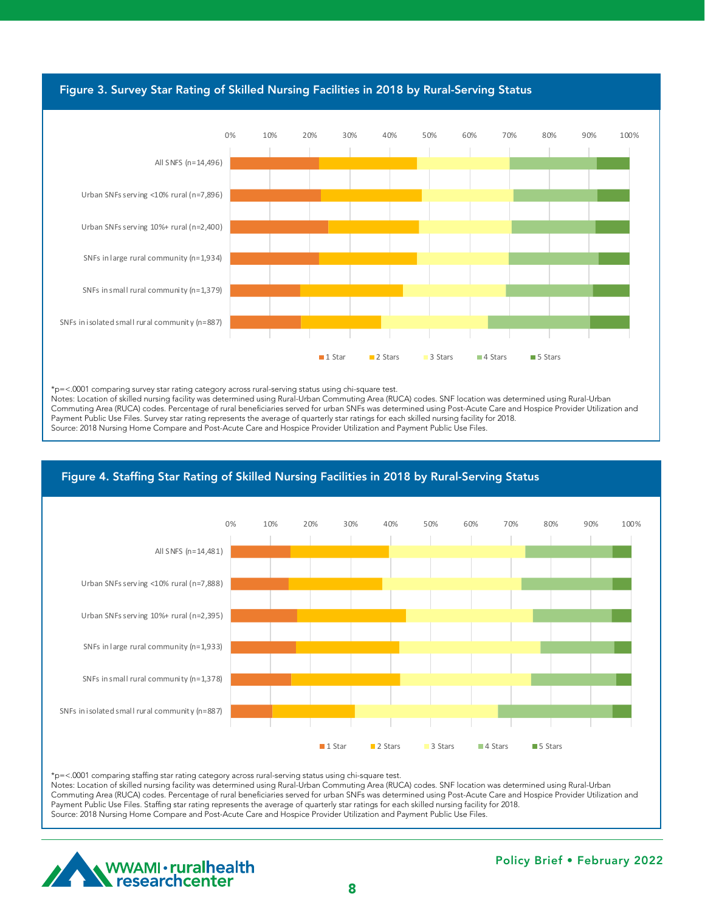

SNFs in isolated small rural community (n=887) 17.8 20.2 26.7 25.5 9.8

\*p=<.0001 comparing survey star rating category across rural-serving status using chi-square test.

Notes: Location of skilled nursing facility was determined using Rural-Urban Commuting Area (RUCA) codes. SNF location was determined using Rural-Urban Commuting Area (RUCA) codes. Percentage of rural beneficiaries served for urban SNFs was determined using Post-Acute Care and Hospice Provider Utilization and Payment Public Use Files. Survey star rating represents the average of quarterly star ratings for each skilled nursing facility for 2018. reginent rabile ose riles. Salvey starrating represents the average or quarterly star ratings for each skilled narsing facility for 2010.<br>Source: 2018 Nursing Home Compare and Post-Acute Care and Hospice Provider Utilizati

SNFs in large rural community (n=1,933) 16.3 25.8 35.4 18.4 4.2

#### Figure 4. Staffing Star Rating of Skilled Nursing Facilities in 2018 by Rural-Serving Status Urban SNFs serving  $\mathcal{L}^2$  ,  $\mathcal{L}^2$  ,  $\mathcal{L}^2$  and  $\mathcal{L}^2$  and  $\mathcal{L}^2$  and  $\mathcal{L}^2$  .  $\mathcal{L}^2$  and  $\mathcal{L}^2$  and  $\mathcal{L}^2$  and  $\mathcal{L}^2$  and  $\mathcal{L}^2$  and  $\mathcal{L}^2$  and  $\mathcal{L}^2$  and  $\mathcal{L}^2$  an



\*p=<.0001 comparing staffing star rating category across rural-serving status using chi-square test.

Notes: Location of skilled nursing facility was determined using Rural-Urban Commuting Area (RUCA) codes. SNF location was determined using Rural-Urban Commuting Area (RUCA) codes. Percentage of rural beneficiaries served for urban SNFs was determined using Post-Acute Care and Hospice Provider Utilization and Payment Public Use Files. Staffing star rating represents the average of quarterly star ratings for each skilled nursing facility for 2018. Source: 2018 Nursing Home Compare and Post-Acute Care and Hospice Provider Utilization and Payment Public Use Files.

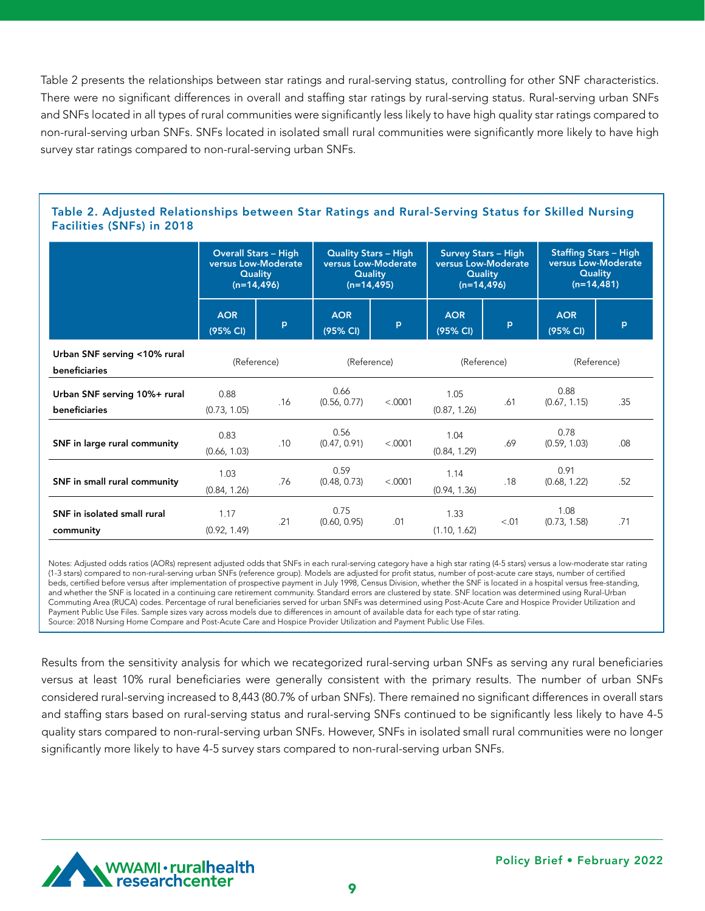Table 2 presents the relationships between star ratings and rural-serving status, controlling for other SNF characteristics. There were no significant differences in overall and staffing star ratings by rural-serving status. Rural-serving urban SNFs and SNFs located in all types of rural communities were significantly less likely to have high quality star ratings compared to non-rural-serving urban SNFs. SNFs located in isolated small rural communities were significantly more likely to have high survey star ratings compared to non-rural-serving urban SNFs.

### Table 2. Adjusted Relationships between Star Ratings and Rural-Serving Status for Skilled Nursing Facilities (SNFs) in 2018

|                                               | <b>Overall Stars - High</b><br>versus Low-Moderate<br><b>Quality</b><br>$(n=14, 496)$ |     | <b>Quality Stars - High</b><br>versus Low-Moderate<br>Quality<br>$(n=14, 495)$ |         | <b>Survey Stars - High</b><br>versus Low-Moderate<br>Quality<br>$(n=14, 496)$ |       | <b>Staffing Stars - High</b><br>versus Low-Moderate<br><b>Quality</b><br>$(n=14,481)$ |     |
|-----------------------------------------------|---------------------------------------------------------------------------------------|-----|--------------------------------------------------------------------------------|---------|-------------------------------------------------------------------------------|-------|---------------------------------------------------------------------------------------|-----|
|                                               | <b>AOR</b><br>(95% CI)                                                                | p   | <b>AOR</b><br>(95% CI)                                                         | p       | <b>AOR</b><br>(95% CI)                                                        | p     | <b>AOR</b><br>(95% CI)                                                                | P   |
| Urban SNF serving <10% rural<br>beneficiaries | (Reference)                                                                           |     | (Reference)                                                                    |         | (Reference)                                                                   |       | (Reference)                                                                           |     |
| Urban SNF serving 10%+ rural<br>beneficiaries | 0.88<br>(0.73, 1.05)                                                                  | .16 | 0.66<br>(0.56, 0.77)                                                           | < .0001 | 1.05<br>(0.87, 1.26)                                                          | .61   | 0.88<br>(0.67, 1.15)                                                                  | .35 |
| SNF in large rural community                  | 0.83<br>(0.66, 1.03)                                                                  | .10 | 0.56<br>(0.47, 0.91)                                                           | < .0001 | 1.04<br>(0.84, 1.29)                                                          | .69   | 0.78<br>(0.59, 1.03)                                                                  | .08 |
| SNF in small rural community                  | 1.03<br>(0.84, 1.26)                                                                  | .76 | 0.59<br>(0.48, 0.73)                                                           | < .0001 | 1.14<br>(0.94, 1.36)                                                          | .18   | 0.91<br>(0.68, 1.22)                                                                  | .52 |
| SNF in isolated small rural<br>community      | 1.17<br>(0.92, 1.49)                                                                  | .21 | 0.75<br>(0.60, 0.95)                                                           | .01     | 1.33<br>(1.10, 1.62)                                                          | < .01 | 1.08<br>(0.73, 1.58)                                                                  | .71 |

Notes: Adjusted odds ratios (AORs) represent adjusted odds that SNFs in each rural-serving category have a high star rating (4-5 stars) versus a low-moderate star rating (1-3 stars) compared to non-rural-serving urban SNFs (reference group). Models are adjusted for profit status, number of post-acute care stays, number of certified beds, certified before versus after implementation of prospective payment in July 1998, Census Division, whether the SNF is located in a hospital versus free-standing, and whether the SNF is located in a continuing care retirement community. Standard errors are clustered by state. SNF location was determined using Rural-Urban Commuting Area (RUCA) codes. Percentage of rural beneficiaries served for urban SNFs was determined using Post-Acute Care and Hospice Provider Utilization and Payment Public Use Files. Sample sizes vary across models due to differences in amount of available data for each type of star rating. Source: 2018 Nursing Home Compare and Post-Acute Care and Hospice Provider Utilization and Payment Public Use Files.

Results from the sensitivity analysis for which we recategorized rural-serving urban SNFs as serving any rural beneficiaries versus at least 10% rural beneficiaries were generally consistent with the primary results. The number of urban SNFs considered rural-serving increased to 8,443 (80.7% of urban SNFs). There remained no significant differences in overall stars and staffing stars based on rural-serving status and rural-serving SNFs continued to be significantly less likely to have 4-5 quality stars compared to non-rural-serving urban SNFs. However, SNFs in isolated small rural communities were no longer significantly more likely to have 4-5 survey stars compared to non-rural-serving urban SNFs.

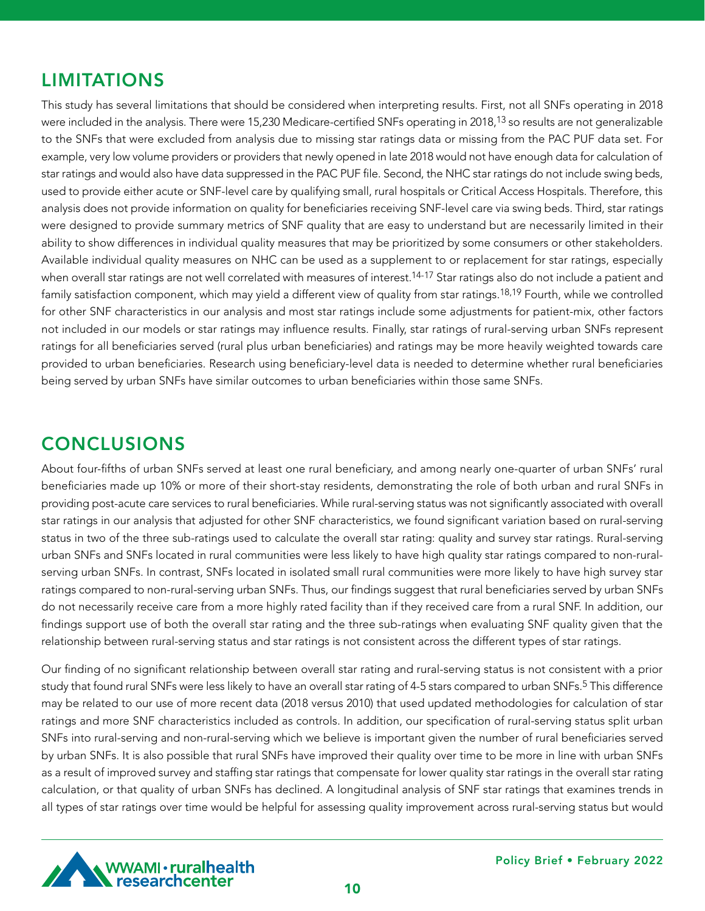# LIMITATIONS

This study has several limitations that should be considered when interpreting results. First, not all SNFs operating in 2018 were included in the analysis. There were 15,230 Medicare-certified SNFs operating in 2018,<sup>13</sup> so results are not generalizable to the SNFs that were excluded from analysis due to missing star ratings data or missing from the PAC PUF data set. For example, very low volume providers or providers that newly opened in late 2018 would not have enough data for calculation of star ratings and would also have data suppressed in the PAC PUF file. Second, the NHC star ratings do not include swing beds, used to provide either acute or SNF-level care by qualifying small, rural hospitals or Critical Access Hospitals. Therefore, this analysis does not provide information on quality for beneficiaries receiving SNF-level care via swing beds. Third, star ratings were designed to provide summary metrics of SNF quality that are easy to understand but are necessarily limited in their ability to show differences in individual quality measures that may be prioritized by some consumers or other stakeholders. Available individual quality measures on NHC can be used as a supplement to or replacement for star ratings, especially when overall star ratings are not well correlated with measures of interest.<sup>14-17</sup> Star ratings also do not include a patient and family satisfaction component, which may yield a different view of quality from star ratings.<sup>18,19</sup> Fourth, while we controlled for other SNF characteristics in our analysis and most star ratings include some adjustments for patient-mix, other factors not included in our models or star ratings may influence results. Finally, star ratings of rural-serving urban SNFs represent ratings for all beneficiaries served (rural plus urban beneficiaries) and ratings may be more heavily weighted towards care provided to urban beneficiaries. Research using beneficiary-level data is needed to determine whether rural beneficiaries being served by urban SNFs have similar outcomes to urban beneficiaries within those same SNFs.

# **CONCLUSIONS**

About four-fifths of urban SNFs served at least one rural beneficiary, and among nearly one-quarter of urban SNFs' rural beneficiaries made up 10% or more of their short-stay residents, demonstrating the role of both urban and rural SNFs in providing post-acute care services to rural beneficiaries. While rural-serving status was not significantly associated with overall star ratings in our analysis that adjusted for other SNF characteristics, we found significant variation based on rural-serving status in two of the three sub-ratings used to calculate the overall star rating: quality and survey star ratings. Rural-serving urban SNFs and SNFs located in rural communities were less likely to have high quality star ratings compared to non-ruralserving urban SNFs. In contrast, SNFs located in isolated small rural communities were more likely to have high survey star ratings compared to non-rural-serving urban SNFs. Thus, our findings suggest that rural beneficiaries served by urban SNFs do not necessarily receive care from a more highly rated facility than if they received care from a rural SNF. In addition, our findings support use of both the overall star rating and the three sub-ratings when evaluating SNF quality given that the relationship between rural-serving status and star ratings is not consistent across the different types of star ratings.

Our finding of no significant relationship between overall star rating and rural-serving status is not consistent with a prior study that found rural SNFs were less likely to have an overall star rating of 4-5 stars compared to urban SNFs.<sup>5</sup> This difference may be related to our use of more recent data (2018 versus 2010) that used updated methodologies for calculation of star ratings and more SNF characteristics included as controls. In addition, our specification of rural-serving status split urban SNFs into rural-serving and non-rural-serving which we believe is important given the number of rural beneficiaries served by urban SNFs. It is also possible that rural SNFs have improved their quality over time to be more in line with urban SNFs as a result of improved survey and staffing star ratings that compensate for lower quality star ratings in the overall star rating calculation, or that quality of urban SNFs has declined. A longitudinal analysis of SNF star ratings that examines trends in all types of star ratings over time would be helpful for assessing quality improvement across rural-serving status but would

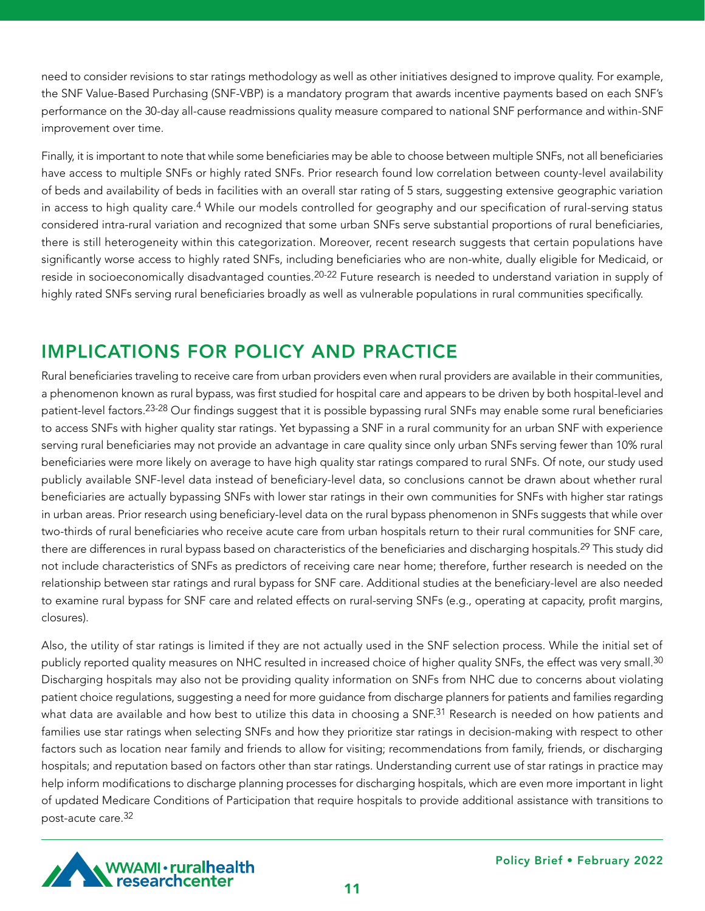need to consider revisions to star ratings methodology as well as other initiatives designed to improve quality. For example, the SNF Value-Based Purchasing (SNF-VBP) is a mandatory program that awards incentive payments based on each SNF's performance on the 30-day all-cause readmissions quality measure compared to national SNF performance and within-SNF improvement over time.

Finally, it is important to note that while some beneficiaries may be able to choose between multiple SNFs, not all beneficiaries have access to multiple SNFs or highly rated SNFs. Prior research found low correlation between county-level availability of beds and availability of beds in facilities with an overall star rating of 5 stars, suggesting extensive geographic variation in access to high quality care.<sup>4</sup> While our models controlled for geography and our specification of rural-serving status considered intra-rural variation and recognized that some urban SNFs serve substantial proportions of rural beneficiaries, there is still heterogeneity within this categorization. Moreover, recent research suggests that certain populations have significantly worse access to highly rated SNFs, including beneficiaries who are non-white, dually eligible for Medicaid, or reside in socioeconomically disadvantaged counties.<sup>20-22</sup> Future research is needed to understand variation in supply of highly rated SNFs serving rural beneficiaries broadly as well as vulnerable populations in rural communities specifically.

# IMPLICATIONS FOR POLICY AND PRACTICE

Rural beneficiaries traveling to receive care from urban providers even when rural providers are available in their communities, a phenomenon known as rural bypass, was first studied for hospital care and appears to be driven by both hospital-level and patient-level factors.23-28 Our findings suggest that it is possible bypassing rural SNFs may enable some rural beneficiaries to access SNFs with higher quality star ratings. Yet bypassing a SNF in a rural community for an urban SNF with experience serving rural beneficiaries may not provide an advantage in care quality since only urban SNFs serving fewer than 10% rural beneficiaries were more likely on average to have high quality star ratings compared to rural SNFs. Of note, our study used publicly available SNF-level data instead of beneficiary-level data, so conclusions cannot be drawn about whether rural beneficiaries are actually bypassing SNFs with lower star ratings in their own communities for SNFs with higher star ratings in urban areas. Prior research using beneficiary-level data on the rural bypass phenomenon in SNFs suggests that while over two-thirds of rural beneficiaries who receive acute care from urban hospitals return to their rural communities for SNF care, there are differences in rural bypass based on characteristics of the beneficiaries and discharging hospitals.<sup>29</sup> This study did not include characteristics of SNFs as predictors of receiving care near home; therefore, further research is needed on the relationship between star ratings and rural bypass for SNF care. Additional studies at the beneficiary-level are also needed to examine rural bypass for SNF care and related effects on rural-serving SNFs (e.g., operating at capacity, profit margins, closures).

Also, the utility of star ratings is limited if they are not actually used in the SNF selection process. While the initial set of publicly reported quality measures on NHC resulted in increased choice of higher quality SNFs, the effect was very small.<sup>30</sup> Discharging hospitals may also not be providing quality information on SNFs from NHC due to concerns about violating patient choice regulations, suggesting a need for more guidance from discharge planners for patients and families regarding what data are available and how best to utilize this data in choosing a SNF.<sup>31</sup> Research is needed on how patients and families use star ratings when selecting SNFs and how they prioritize star ratings in decision-making with respect to other factors such as location near family and friends to allow for visiting; recommendations from family, friends, or discharging hospitals; and reputation based on factors other than star ratings. Understanding current use of star ratings in practice may help inform modifications to discharge planning processes for discharging hospitals, which are even more important in light of updated Medicare Conditions of Participation that require hospitals to provide additional assistance with transitions to post-acute care.32

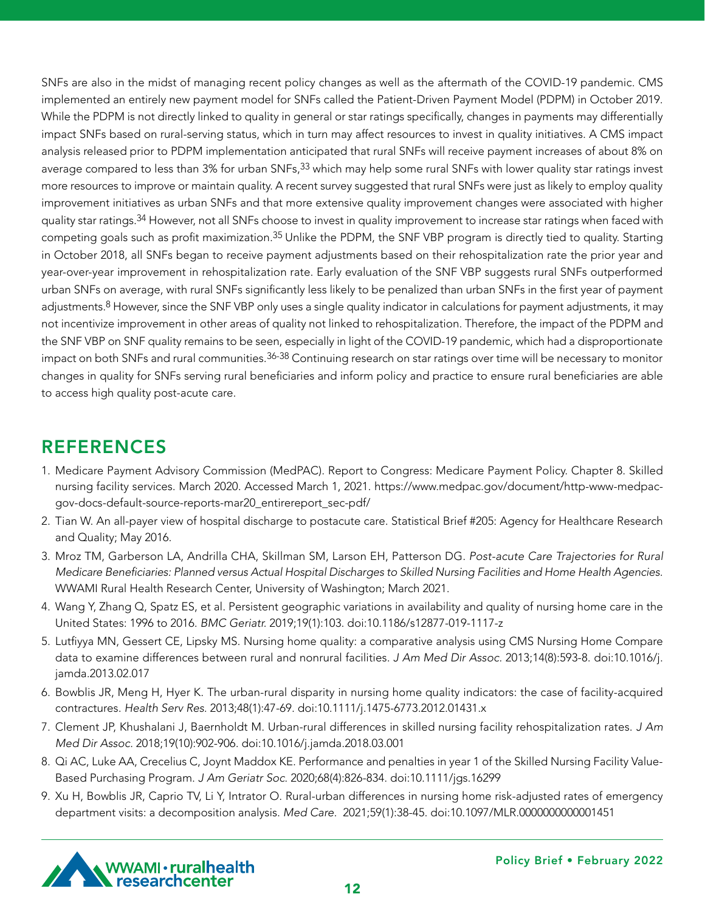SNFs are also in the midst of managing recent policy changes as well as the aftermath of the COVID-19 pandemic. CMS implemented an entirely new payment model for SNFs called the Patient-Driven Payment Model (PDPM) in October 2019. While the PDPM is not directly linked to quality in general or star ratings specifically, changes in payments may differentially impact SNFs based on rural-serving status, which in turn may affect resources to invest in quality initiatives. A CMS impact analysis released prior to PDPM implementation anticipated that rural SNFs will receive payment increases of about 8% on average compared to less than 3% for urban SNFs,<sup>33</sup> which may help some rural SNFs with lower quality star ratings invest more resources to improve or maintain quality. A recent survey suggested that rural SNFs were just as likely to employ quality improvement initiatives as urban SNFs and that more extensive quality improvement changes were associated with higher quality star ratings.<sup>34</sup> However, not all SNFs choose to invest in quality improvement to increase star ratings when faced with competing goals such as profit maximization.35 Unlike the PDPM, the SNF VBP program is directly tied to quality. Starting in October 2018, all SNFs began to receive payment adjustments based on their rehospitalization rate the prior year and year-over-year improvement in rehospitalization rate. Early evaluation of the SNF VBP suggests rural SNFs outperformed urban SNFs on average, with rural SNFs significantly less likely to be penalized than urban SNFs in the first year of payment adjustments.<sup>8</sup> However, since the SNF VBP only uses a single quality indicator in calculations for payment adjustments, it may not incentivize improvement in other areas of quality not linked to rehospitalization. Therefore, the impact of the PDPM and the SNF VBP on SNF quality remains to be seen, especially in light of the COVID-19 pandemic, which had a disproportionate impact on both SNFs and rural communities.<sup>36-38</sup> Continuing research on star ratings over time will be necessary to monitor changes in quality for SNFs serving rural beneficiaries and inform policy and practice to ensure rural beneficiaries are able to access high quality post-acute care.

### REFERENCES

- 1. Medicare Payment Advisory Commission (MedPAC). Report to Congress: Medicare Payment Policy. Chapter 8. Skilled nursing facility services. March 2020. Accessed March 1, 2021. https://www.medpac.gov/document/http-www-medpacgov-docs-default-source-reports-mar20\_entirereport\_sec-pdf/
- 2. Tian W. An all-payer view of hospital discharge to postacute care. Statistical Brief #205: Agency for Healthcare Research and Quality; May 2016.
- 3. Mroz TM, Garberson LA, Andrilla CHA, Skillman SM, Larson EH, Patterson DG. *Post-acute Care Trajectories for Rural*  Medicare Beneficiaries: Planned versus Actual Hospital Discharges to Skilled Nursing Facilities and Home Health Agencies. WWAMI Rural Health Research Center, University of Washington; March 2021.
- 4. Wang Y, Zhang Q, Spatz ES, et al. Persistent geographic variations in availability and quality of nursing home care in the United States: 1996 to 2016. *BMC Geriatr.* 2019;19(1):103. doi:10.1186/s12877-019-1117-z
- 5. Lutfiyya MN, Gessert CE, Lipsky MS. Nursing home quality: a comparative analysis using CMS Nursing Home Compare data to examine differences between rural and nonrural facilities. J Am Med Dir Assoc. 2013;14(8):593-8. doi:10.1016/j. jamda.2013.02.017
- 6. Bowblis JR, Meng H, Hyer K. The urban-rural disparity in nursing home quality indicators: the case of facility-acquired contractures. Health Serv Res. 2013;48(1):47-69. doi:10.1111/j.1475-6773.2012.01431.x
- 7. Clement JP, Khushalani J, Baernholdt M. Urban-rural differences in skilled nursing facility rehospitalization rates. J Am Med Dir Assoc. 2018;19(10):902-906. doi:10.1016/j.jamda.2018.03.001
- 8. Qi AC, Luke AA, Crecelius C, Joynt Maddox KE. Performance and penalties in year 1 of the Skilled Nursing Facility Value-Based Purchasing Program. J Am Geriatr Soc. 2020;68(4):826-834. doi:10.1111/jgs.16299
- 9. Xu H, Bowblis JR, Caprio TV, Li Y, Intrator O. Rural-urban differences in nursing home risk-adjusted rates of emergency department visits: a decomposition analysis. *Med Care*. 2021;59(1):38-45. doi:10.1097/MLR.0000000000001451

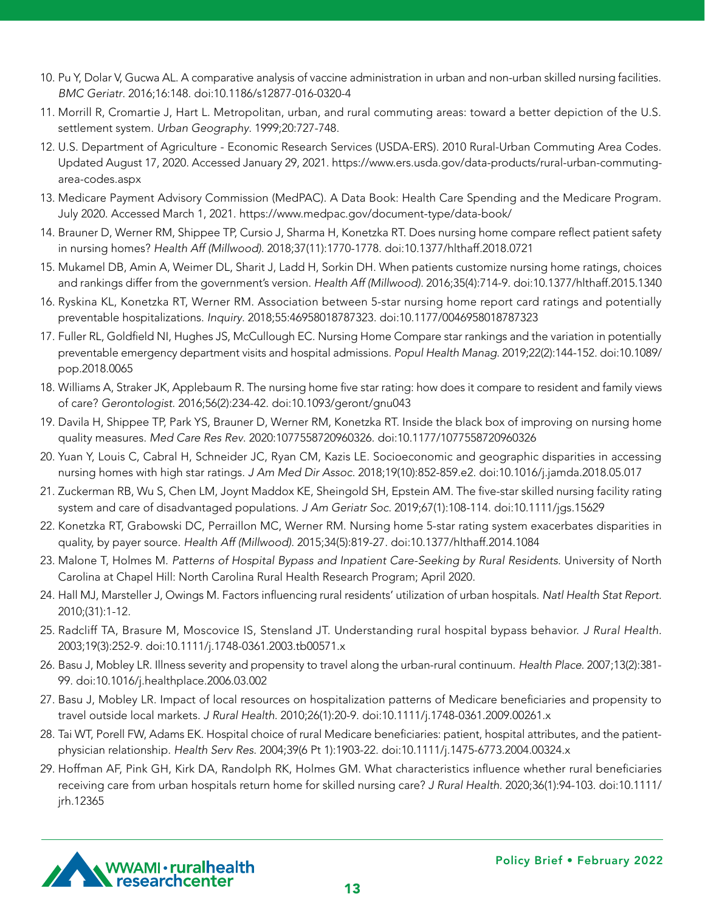- 10. Pu Y, Dolar V, Gucwa AL. A comparative analysis of vaccine administration in urban and non-urban skilled nursing facilities. *BMC Geriatr*. 2016;16:148. doi:10.1186/s12877-016-0320-4
- 11. Morrill R, Cromartie J, Hart L. Metropolitan, urban, and rural commuting areas: toward a better depiction of the U.S. settlement system. Urban Geography. 1999;20:727-748.
- 12. U.S. Department of Agriculture Economic Research Services (USDA-ERS). 2010 Rural-Urban Commuting Area Codes. Updated August 17, 2020. Accessed January 29, 2021. https://www.ers.usda.gov/data-products/rural-urban-commutingarea-codes.aspx
- 13. Medicare Payment Advisory Commission (MedPAC). A Data Book: Health Care Spending and the Medicare Program. July 2020. Accessed March 1, 2021. https://www.medpac.gov/document-type/data-book/
- 14. Brauner D, Werner RM, Shippee TP, Cursio J, Sharma H, Konetzka RT. Does nursing home compare reflect patient safety in nursing homes? Health Aff (Millwood). 2018;37(11):1770-1778. doi:10.1377/hlthaff.2018.0721
- 15. Mukamel DB, Amin A, Weimer DL, Sharit J, Ladd H, Sorkin DH. When patients customize nursing home ratings, choices and rankings differ from the government's version. Health Aff (Millwood). 2016;35(4):714-9. doi:10.1377/hlthaff.2015.1340
- 16. Ryskina KL, Konetzka RT, Werner RM. Association between 5-star nursing home report card ratings and potentially preventable hospitalizations. Inquiry. 2018;55:46958018787323. doi:10.1177/0046958018787323
- 17. Fuller RL, Goldfield NI, Hughes JS, McCullough EC. Nursing Home Compare star rankings and the variation in potentially preventable emergency department visits and hospital admissions. Popul Health Manag. 2019;22(2):144-152. doi:10.1089/ pop.2018.0065
- 18. Williams A, Straker JK, Applebaum R. The nursing home five star rating: how does it compare to resident and family views of care? *Gerontologist*. 2016;56(2):234-42. doi:10.1093/geront/gnu043
- 19. Davila H, Shippee TP, Park YS, Brauner D, Werner RM, Konetzka RT. Inside the black box of improving on nursing home quality measures. Med Care Res Rev. 2020:1077558720960326. doi:10.1177/1077558720960326
- 20. Yuan Y, Louis C, Cabral H, Schneider JC, Ryan CM, Kazis LE. Socioeconomic and geographic disparities in accessing nursing homes with high star ratings. J Am Med Dir Assoc. 2018;19(10):852-859.e2. doi:10.1016/j.jamda.2018.05.017
- 21. Zuckerman RB, Wu S, Chen LM, Joynt Maddox KE, Sheingold SH, Epstein AM. The five-star skilled nursing facility rating system and care of disadvantaged populations. J Am Geriatr Soc. 2019;67(1):108-114. doi:10.1111/jgs.15629
- 22. Konetzka RT, Grabowski DC, Perraillon MC, Werner RM. Nursing home 5-star rating system exacerbates disparities in quality, by payer source. Health Aff (Millwood). 2015;34(5):819-27. doi:10.1377/hlthaff.2014.1084
- 23. Malone T, Holmes M. Patterns of Hospital Bypass and Inpatient Care-Seeking by Rural Residents. University of North Carolina at Chapel Hill: North Carolina Rural Health Research Program; April 2020.
- 24. Hall MJ, Marsteller J, Owings M. Factors influencing rural residents' utilization of urban hospitals. Natl Health Stat Report. 2010;(31):1-12.
- 25. Radcliff TA, Brasure M, Moscovice IS, Stensland JT. Understanding rural hospital bypass behavior. J Rural Health. 2003;19(3):252-9. doi:10.1111/j.1748-0361.2003.tb00571.x
- 26. Basu J, Mobley LR. Illness severity and propensity to travel along the urban-rural continuum. Health Place. 2007;13(2):381- 99. doi:10.1016/j.healthplace.2006.03.002
- 27. Basu J, Mobley LR. Impact of local resources on hospitalization patterns of Medicare beneficiaries and propensity to travel outside local markets. J Rural Health. 2010;26(1):20-9. doi:10.1111/j.1748-0361.2009.00261.x
- 28. Tai WT, Porell FW, Adams EK. Hospital choice of rural Medicare beneficiaries: patient, hospital attributes, and the patientphysician relationship. Health Serv Res. 2004;39(6 Pt 1):1903-22. doi:10.1111/j.1475-6773.2004.00324.x
- 29. Hoffman AF, Pink GH, Kirk DA, Randolph RK, Holmes GM. What characteristics influence whether rural beneficiaries receiving care from urban hospitals return home for skilled nursing care? J Rural Health. 2020;36(1):94-103. doi:10.1111/ jrh.12365

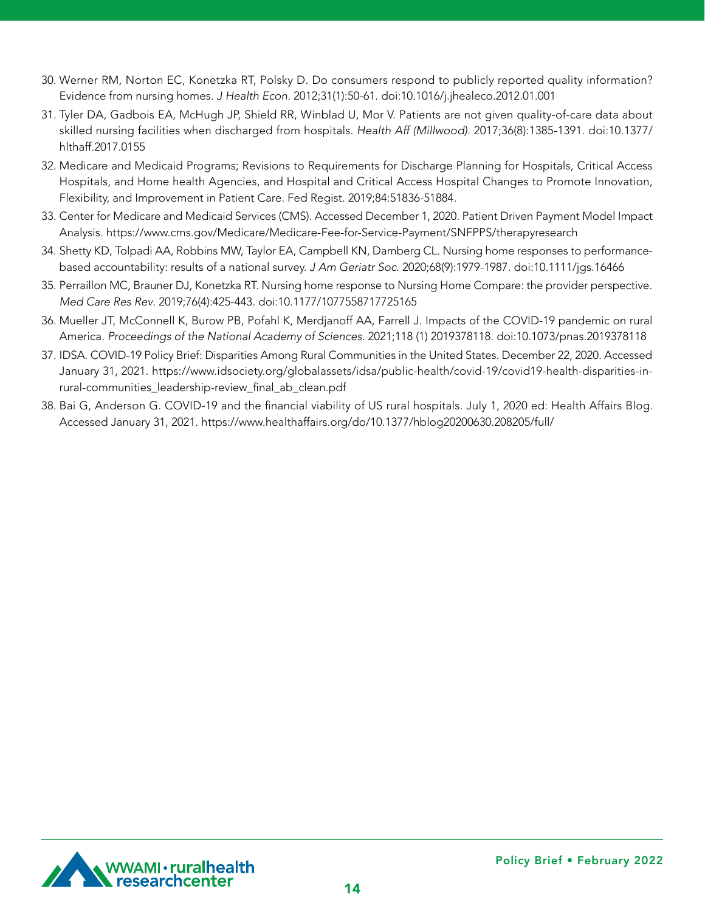- 30. Werner RM, Norton EC, Konetzka RT, Polsky D. Do consumers respond to publicly reported quality information? Evidence from nursing homes. J Health Econ. 2012;31(1):50-61. doi:10.1016/j.jhealeco.2012.01.001
- 31. Tyler DA, Gadbois EA, McHugh JP, Shield RR, Winblad U, Mor V. Patients are not given quality-of-care data about skilled nursing facilities when discharged from hospitals. Health Aff (Millwood). 2017;36(8):1385-1391. doi:10.1377/ hlthaff.2017.0155
- 32. Medicare and Medicaid Programs; Revisions to Requirements for Discharge Planning for Hospitals, Critical Access Hospitals, and Home health Agencies, and Hospital and Critical Access Hospital Changes to Promote Innovation, Flexibility, and Improvement in Patient Care. Fed Regist. 2019;84:51836-51884.
- 33. Center for Medicare and Medicaid Services (CMS). Accessed December 1, 2020. Patient Driven Payment Model Impact Analysis. https://www.cms.gov/Medicare/Medicare-Fee-for-Service-Payment/SNFPPS/therapyresearch
- 34. Shetty KD, Tolpadi AA, Robbins MW, Taylor EA, Campbell KN, Damberg CL. Nursing home responses to performancebased accountability: results of a national survey. J Am Geriatr Soc. 2020;68(9):1979-1987. doi:10.1111/jgs.16466
- 35. Perraillon MC, Brauner DJ, Konetzka RT. Nursing home response to Nursing Home Compare: the provider perspective. Med Care Res Rev. 2019;76(4):425-443. doi:10.1177/1077558717725165
- 36. Mueller JT, McConnell K, Burow PB, Pofahl K, Merdjanoff AA, Farrell J. Impacts of the COVID-19 pandemic on rural America. Proceedings of the National Academy of Sciences. 2021;118 (1) 2019378118. doi:10.1073/pnas.2019378118
- 37. IDSA. COVID-19 Policy Brief: Disparities Among Rural Communities in the United States. December 22, 2020. Accessed January 31, 2021. https://www.idsociety.org/globalassets/idsa/public-health/covid-19/covid19-health-disparities-inrural-communities\_leadership-review\_final\_ab\_clean.pdf
- 38. Bai G, Anderson G. COVID-19 and the financial viability of US rural hospitals. July 1, 2020 ed: Health Affairs Blog. Accessed January 31, 2021. https://www.healthaffairs.org/do/10.1377/hblog20200630.208205/full/